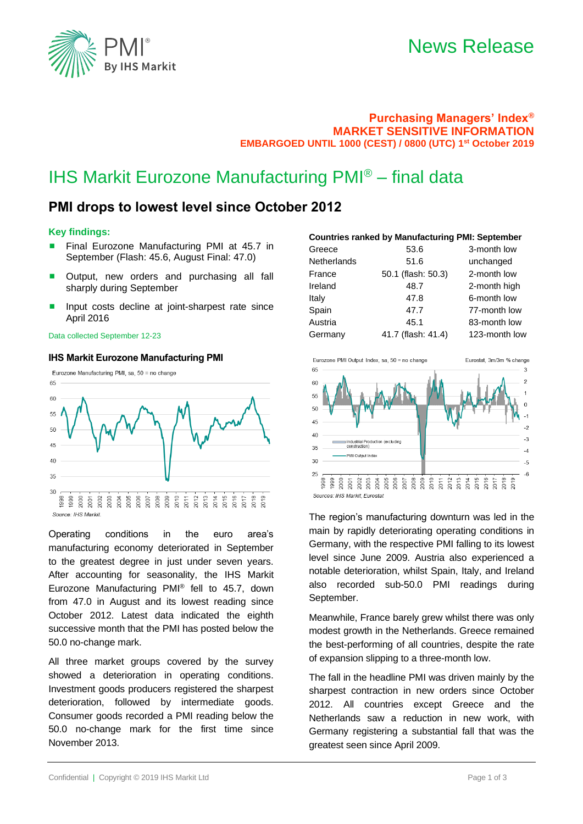

# News Release

## **Purchasing Managers' Index® MARKET SENSITIVE INFORMATION EMBARGOED UNTIL 1000 (CEST) / 0800 (UTC) 1 st October 2019**

# IHS Markit Eurozone Manufacturing PMI® – final data

# **PMI drops to lowest level since October 2012**

### **Key findings:**

- Final Eurozone Manufacturing PMI at 45.7 in September (Flash: 45.6, August Final: 47.0)
- Output, new orders and purchasing all fall sharply during September
- Input costs decline at joint-sharpest rate since April 2016

#### Data collected September 12-23

### **IHS Markit Eurozone Manufacturing PMI**



Operating conditions in the euro area's manufacturing economy deteriorated in September to the greatest degree in just under seven years. After accounting for seasonality, the IHS Markit Eurozone Manufacturing PMI® fell to 45.7, down from 47.0 in August and its lowest reading since October 2012. Latest data indicated the eighth successive month that the PMI has posted below the 50.0 no-change mark.

All three market groups covered by the survey showed a deterioration in operating conditions. Investment goods producers registered the sharpest deterioration, followed by intermediate goods. Consumer goods recorded a PMI reading below the 50.0 no-change mark for the first time since November 2013.

#### **Countries ranked by Manufacturing PMI: September**

| Greece      | 53.6               | 3-month low   |
|-------------|--------------------|---------------|
| Netherlands | 51.6               | unchanged     |
| France      | 50.1 (flash: 50.3) | 2-month low   |
| Ireland     | 48.7               | 2-month high  |
| Italy       | 47.8               | 6-month low   |
| Spain       | 47.7               | 77-month low  |
| Austria     | 45.1               | 83-month low  |
| Germany     | 41.7 (flash: 41.4) | 123-month low |



The region's manufacturing downturn was led in the main by rapidly deteriorating operating conditions in Germany, with the respective PMI falling to its lowest level since June 2009. Austria also experienced a notable deterioration, whilst Spain, Italy, and Ireland also recorded sub-50.0 PMI readings during September.

Meanwhile, France barely grew whilst there was only modest growth in the Netherlands. Greece remained the best-performing of all countries, despite the rate of expansion slipping to a three-month low.

The fall in the headline PMI was driven mainly by the sharpest contraction in new orders since October 2012. All countries except Greece and the Netherlands saw a reduction in new work, with Germany registering a substantial fall that was the greatest seen since April 2009.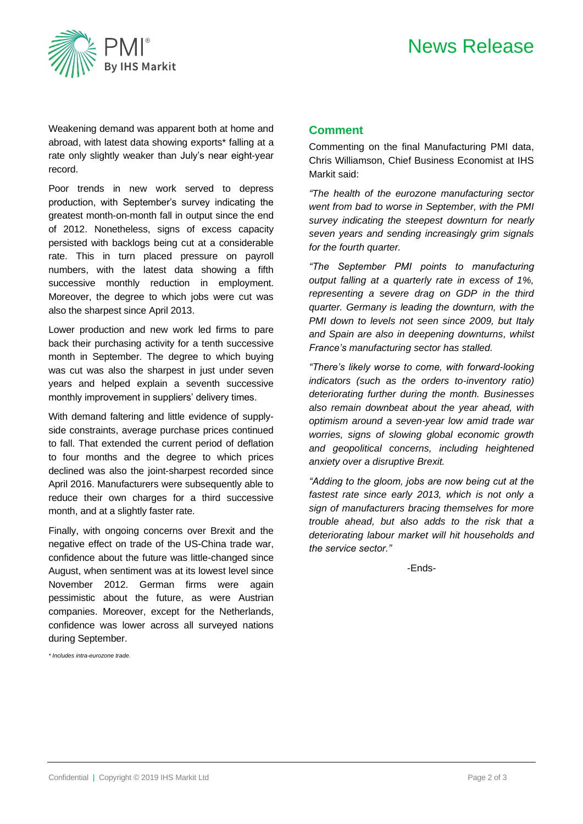# News Release



Weakening demand was apparent both at home and abroad, with latest data showing exports\* falling at a rate only slightly weaker than July's near eight-year record.

Poor trends in new work served to depress production, with September's survey indicating the greatest month-on-month fall in output since the end of 2012. Nonetheless, signs of excess capacity persisted with backlogs being cut at a considerable rate. This in turn placed pressure on payroll numbers, with the latest data showing a fifth successive monthly reduction in employment. Moreover, the degree to which jobs were cut was also the sharpest since April 2013.

Lower production and new work led firms to pare back their purchasing activity for a tenth successive month in September. The degree to which buying was cut was also the sharpest in just under seven years and helped explain a seventh successive monthly improvement in suppliers' delivery times.

With demand faltering and little evidence of supplyside constraints, average purchase prices continued to fall. That extended the current period of deflation to four months and the degree to which prices declined was also the joint-sharpest recorded since April 2016. Manufacturers were subsequently able to reduce their own charges for a third successive month, and at a slightly faster rate.

Finally, with ongoing concerns over Brexit and the negative effect on trade of the US-China trade war, confidence about the future was little-changed since August, when sentiment was at its lowest level since November 2012. German firms were again pessimistic about the future, as were Austrian companies. Moreover, except for the Netherlands, confidence was lower across all surveyed nations during September.

*\* Includes intra-eurozone trade.*

### **Comment**

Commenting on the final Manufacturing PMI data, Chris Williamson, Chief Business Economist at IHS Markit said:

*"The health of the eurozone manufacturing sector went from bad to worse in September, with the PMI survey indicating the steepest downturn for nearly seven years and sending increasingly grim signals for the fourth quarter.* 

*"The September PMI points to manufacturing output falling at a quarterly rate in excess of 1%, representing a severe drag on GDP in the third quarter. Germany is leading the downturn, with the PMI down to levels not seen since 2009, but Italy and Spain are also in deepening downturns, whilst France's manufacturing sector has stalled.*

*"There's likely worse to come, with forward-looking indicators (such as the orders to-inventory ratio) deteriorating further during the month. Businesses also remain downbeat about the year ahead, with optimism around a seven-year low amid trade war worries, signs of slowing global economic growth and geopolitical concerns, including heightened anxiety over a disruptive Brexit.*

*"Adding to the gloom, jobs are now being cut at the fastest rate since early 2013, which is not only a sign of manufacturers bracing themselves for more trouble ahead, but also adds to the risk that a deteriorating labour market will hit households and the service sector."*

-Ends-